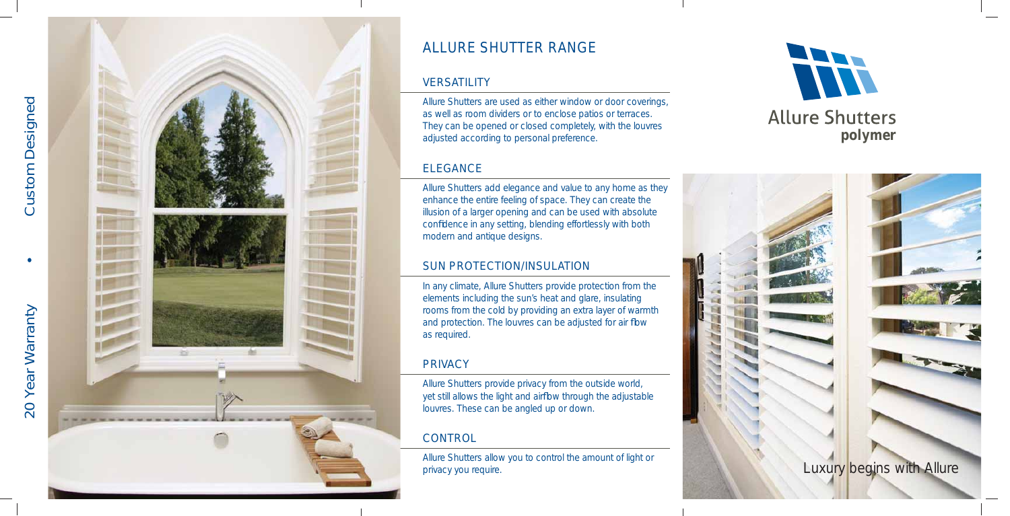# ALLURE SHUTTER RANGE

### **VERSATILITY**





Allure Shutters are used as either window or door coverings, as well as room dividers or to enclose patios or terraces. They can be opened or closed completely, with the louvres adjusted according to personal preference.

## ELEGANCE

Allure Shutters add elegance and value to any home as they enhance the entire feeling of space. They can create the illusion of a larger opening and can be used with absolute confidence in any setting, blending effortlessly with both modern and antique designs.

# SUN PROTECTION/INSULATION

In any climate, Allure Shutters provide protection from the elements including the sun's heat and glare, insulating rooms from the cold by providing an extra layer of warmth and protection. The louvres can be adjusted for air flow as required.

# **PRIVACY**

Allure Shutters provide privacy from the outside world, yet still allows the light and airflow through the adjustable louvres. These can be angled up or down.

# **CONTROL**

Allure Shutters allow you to control the amount of light or